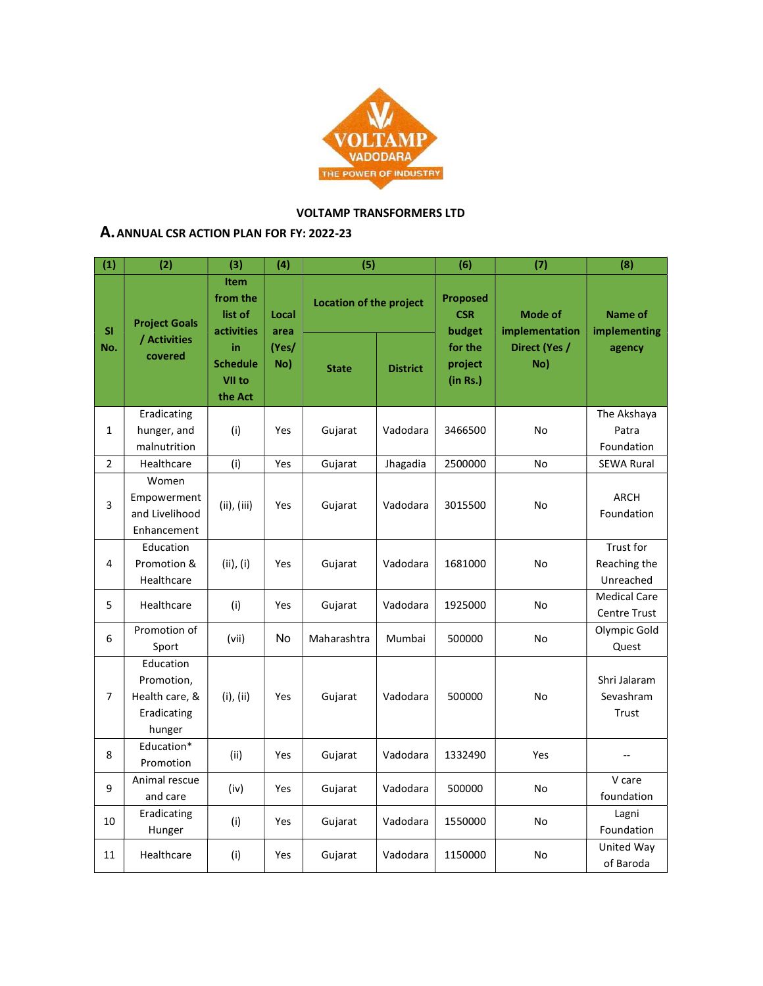

## VOLTAMP TRANSFORMERS LTD

## A.ANNUAL CSR ACTION PLAN FOR FY: 2022-23

| (1)              | (2)                                                                | (3)                                                                                            | (4)                           | (5)                            |                 | (6)                                     | (7)                              | (8)                                        |
|------------------|--------------------------------------------------------------------|------------------------------------------------------------------------------------------------|-------------------------------|--------------------------------|-----------------|-----------------------------------------|----------------------------------|--------------------------------------------|
| <b>SI</b><br>No. | <b>Project Goals</b><br>/ Activities<br>covered                    | <b>Item</b><br>from the<br>list of<br>activities<br>in<br><b>Schedule</b><br>VII to<br>the Act | Local<br>area<br>(Yes/<br>No) | <b>Location of the project</b> |                 | <b>Proposed</b><br><b>CSR</b><br>budget | <b>Mode of</b><br>implementation | <b>Name of</b><br>implementing             |
|                  |                                                                    |                                                                                                |                               | <b>State</b>                   | <b>District</b> | for the<br>project<br>(in Rs.)          | Direct (Yes /<br>No)             | agency                                     |
| 1                | Eradicating<br>hunger, and<br>malnutrition                         | (i)                                                                                            | Yes                           | Gujarat                        | Vadodara        | 3466500                                 | No                               | The Akshaya<br>Patra<br>Foundation         |
| $\overline{2}$   | Healthcare                                                         | (i)                                                                                            | Yes                           | Gujarat                        | Jhagadia        | 2500000                                 | No                               | <b>SEWA Rural</b>                          |
| 3                | Women<br>Empowerment<br>and Livelihood<br>Enhancement              | $(ii)$ , $(iii)$                                                                               | Yes                           | Gujarat                        | Vadodara        | 3015500                                 | No                               | <b>ARCH</b><br>Foundation                  |
| 4                | Education<br>Promotion &<br>Healthcare                             | (ii), (i)                                                                                      | Yes                           | Gujarat                        | Vadodara        | 1681000                                 | No                               | Trust for<br>Reaching the<br>Unreached     |
| 5                | Healthcare                                                         | (i)                                                                                            | Yes                           | Gujarat                        | Vadodara        | 1925000                                 | No                               | <b>Medical Care</b><br><b>Centre Trust</b> |
| 6                | Promotion of<br>Sport                                              | (vii)                                                                                          | No                            | Maharashtra                    | Mumbai          | 500000                                  | No                               | Olympic Gold<br>Quest                      |
| 7                | Education<br>Promotion,<br>Health care, &<br>Eradicating<br>hunger | $(i)$ , $(ii)$                                                                                 | Yes                           | Gujarat                        | Vadodara        | 500000                                  | No                               | Shri Jalaram<br>Sevashram<br>Trust         |
| 8                | Education*<br>Promotion                                            | (ii)                                                                                           | Yes                           | Gujarat                        | Vadodara        | 1332490                                 | Yes                              |                                            |
| 9                | Animal rescue<br>and care                                          | (iv)                                                                                           | Yes                           | Gujarat                        | Vadodara        | 500000                                  | No                               | V care<br>foundation                       |
| 10               | Eradicating<br>Hunger                                              | (i)                                                                                            | Yes                           | Gujarat                        | Vadodara        | 1550000                                 | No                               | Lagni<br>Foundation                        |
| 11               | Healthcare                                                         | (i)                                                                                            | Yes                           | Gujarat                        | Vadodara        | 1150000                                 | No                               | United Way<br>of Baroda                    |